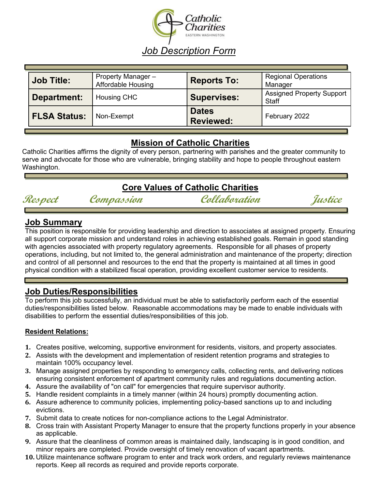

| <b>Job Title:</b>   | Property Manager -<br><b>Affordable Housing</b> | <b>Reports To:</b>               | <b>Regional Operations</b><br>Manager            |
|---------------------|-------------------------------------------------|----------------------------------|--------------------------------------------------|
| Department:         | <b>Housing CHC</b>                              | <b>Supervises:</b>               | <b>Assigned Property Support</b><br><b>Staff</b> |
| <b>FLSA Status:</b> | Non-Exempt                                      | <b>Dates</b><br><b>Reviewed:</b> | February 2022                                    |

# **Mission of Catholic Charities**

Catholic Charities affirms the dignity of every person, partnering with parishes and the greater community to serve and advocate for those who are vulnerable, bringing stability and hope to people throughout eastern Washington.

# **Core Values of Catholic Charities**



**Respect Compassion Collaboration Justice** 

## **Job Summary**

This position is responsible for providing leadership and direction to associates at assigned property. Ensuring all support corporate mission and understand roles in achieving established goals. Remain in good standing with agencies associated with property regulatory agreements. Responsible for all phases of property operations, including, but not limited to, the general administration and maintenance of the property; direction and control of all personnel and resources to the end that the property is maintained at all times in good physical condition with a stabilized fiscal operation, providing excellent customer service to residents.

# **Job Duties/Responsibilities**

To perform this job successfully, an individual must be able to satisfactorily perform each of the essential duties/responsibilities listed below. Reasonable accommodations may be made to enable individuals with disabilities to perform the essential duties/responsibilities of this job.

## **Resident Relations:**

- **1.** Creates positive, welcoming, supportive environment for residents, visitors, and property associates.
- **2.** Assists with the development and implementation of resident retention programs and strategies to maintain 100% occupancy level.
- **3.** Manage assigned properties by responding to emergency calls, collecting rents, and delivering notices ensuring consistent enforcement of apartment community rules and regulations documenting action.
- **4.** Assure the availability of "on call" for emergencies that require supervisor authority.
- **5.** Handle resident complaints in a timely manner (within 24 hours) promptly documenting action.
- **6.** Assure adherence to community policies, implementing policy-based sanctions up to and including evictions.
- **7.** Submit data to create notices for non-compliance actions to the Legal Administrator.
- **8.** Cross train with Assistant Property Manager to ensure that the property functions properly in your absence as applicable.
- **9.** Assure that the cleanliness of common areas is maintained daily, landscaping is in good condition, and minor repairs are completed. Provide oversight of timely renovation of vacant apartments.
- **10.** Utilize maintenance software program to enter and track work orders, and regularly reviews maintenance reports. Keep all records as required and provide reports corporate.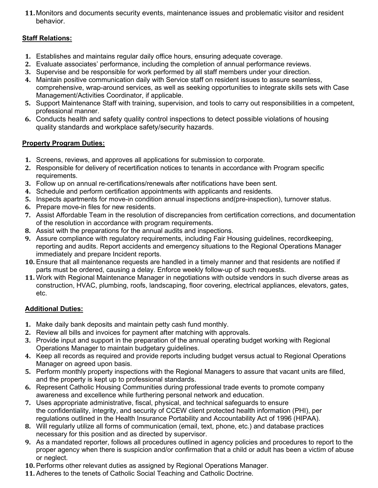**11.** Monitors and documents security events, maintenance issues and problematic visitor and resident behavior.

### **Staff Relations:**

- **1.** Establishes and maintains regular daily office hours, ensuring adequate coverage.
- **2.** Evaluate associates' performance, including the completion of annual performance reviews.
- **3.** Supervise and be responsible for work performed by all staff members under your direction.
- **4.** Maintain positive communication daily with Service staff on resident issues to assure seamless, comprehensive, wrap-around services, as well as seeking opportunities to integrate skills sets with Case Management/Activities Coordinator, if applicable.
- **5.** Support Maintenance Staff with training, supervision, and tools to carry out responsibilities in a competent, professional manner.
- **6.** Conducts health and safety quality control inspections to detect possible violations of housing quality standards and workplace safety/security hazards.

#### **Property Program Duties:**

- **1.** Screens, reviews, and approves all applications for submission to corporate.
- **2.** Responsible for delivery of recertification notices to tenants in accordance with Program specific requirements.
- **3.** Follow up on annual re-certifications/renewals after notifications have been sent.
- **4.** Schedule and perform certification appointments with applicants and residents.
- **5.** Inspects apartments for move-in condition annual inspections and(pre-inspection), turnover status.
- **6.** Prepare move-in files for new residents.
- **7.** Assist Affordable Team in the resolution of discrepancies from certification corrections, and documentation of the resolution in accordance with program requirements.
- **8.** Assist with the preparations for the annual audits and inspections.
- **9.** Assure compliance with regulatory requirements, including Fair Housing guidelines, recordkeeping, reporting and audits. Report accidents and emergency situations to the Regional Operations Manager immediately and prepare Incident reports.
- **10.** Ensure that all maintenance requests are handled in a timely manner and that residents are notified if parts must be ordered, causing a delay. Enforce weekly follow-up of such requests.
- **11.** Work with Regional Maintenance Manager in negotiations with outside vendors in such diverse areas as construction, HVAC, plumbing, roofs, landscaping, floor covering, electrical appliances, elevators, gates, etc.

#### **Additional Duties:**

- **1.** Make daily bank deposits and maintain petty cash fund monthly.
- **2.** Review all bills and invoices for payment after matching with approvals.
- **3.** Provide input and support in the preparation of the annual operating budget working with Regional Operations Manager to maintain budgetary guidelines.
- **4.** Keep all records as required and provide reports including budget versus actual to Regional Operations Manager on agreed upon basis.
- **5.** Perform monthly property inspections with the Regional Managers to assure that vacant units are filled, and the property is kept up to professional standards.
- **6.** Represent Catholic Housing Communities during professional trade events to promote company awareness and excellence while furthering personal network and education.
- **7.** Uses appropriate administrative, fiscal, physical, and technical safeguards to ensure the confidentiality, integrity, and security of CCEW client protected health information (PHI), per regulations outlined in the Health Insurance Portability and Accountability Act of 1996 (HIPAA).
- **8.** Will regularly utilize all forms of communication (email, text, phone, etc.) and database practices necessary for this position and as directed by supervisor.
- **9.** As a mandated reporter, follows all procedures outlined in agency policies and procedures to report to the proper agency when there is suspicion and/or confirmation that a child or adult has been a victim of abuse or neglect.
- **10.** Performs other relevant duties as assigned by Regional Operations Manager.
- **11.** Adheres to the tenets of Catholic Social Teaching and Catholic Doctrine.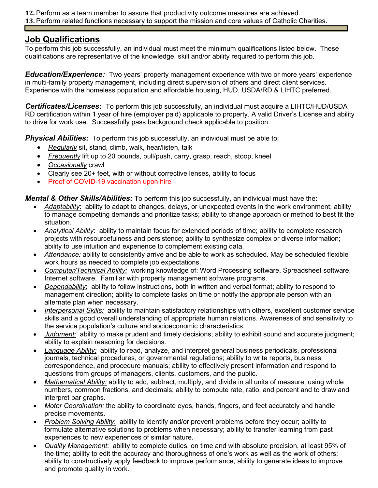**12.** Perform as a team member to assure that productivity outcome measures are achieved.

**13.** Perform related functions necessary to support the mission and core values of Catholic Charities.

# **Job Qualifications**

To perform this job successfully, an individual must meet the minimum qualifications listed below. These qualifications are representative of the knowledge, skill and/or ability required to perform this job.

*Education/Experience:*Two years' property management experience with two or more years' experience in multi-family property management, including direct supervision of others and direct client services. Experience with the homeless population and affordable housing, HUD, USDA/RD & LIHTC preferred.

*Certificates/Licenses:* To perform this job successfully, an individual must acquire a LIHTC/HUD/USDA RD certification within 1 year of hire (employer paid) applicable to property. A valid Driver's License and ability to drive for work use. Successfully pass background check applicable to position.

**Physical Abilities:** To perform this job successfully, an individual must be able to:

- *Regularly* sit, stand, climb, walk, hear/listen, talk
- *Frequently* lift up to 20 pounds, pull/push, carry, grasp, reach, stoop, kneel
- *Occasionally* crawl
- Clearly see 20+ feet, with or without corrective lenses, ability to focus
- Proof of COVID-19 vaccination upon hire

*Mental & Other Skills/Abilities:* To perform this job successfully, an individual must have the:

- *Adaptability*: ability to adapt to changes, delays, or unexpected events in the work environment; ability to manage competing demands and prioritize tasks; ability to change approach or method to best fit the situation.
- *Analytical Ability*: ability to maintain focus for extended periods of time; ability to complete research projects with resourcefulness and persistence; ability to synthesize complex or diverse information; ability to use intuition and experience to complement existing data.
- *Attendance:* ability to consistently arrive and be able to work as scheduled. May be scheduled flexible work hours as needed to complete job expectations.
- *Computer/Technical Ability:* working knowledge of: Word Processing software, Spreadsheet software, Internet software. Familiar with property management software programs.
- *Dependability*: ability to follow instructions, both in written and verbal format; ability to respond to management direction; ability to complete tasks on time or notify the appropriate person with an alternate plan when necessary.
- *Interpersonal Skills:* ability to maintain satisfactory relationships with others, excellent customer service skills and a good overall understanding of appropriate human relations. Awareness of and sensitivity to the service population's culture and socioeconomic characteristics.
- *Judgment:* ability to make prudent and timely decisions; ability to exhibit sound and accurate judgment; ability to explain reasoning for decisions.
- *Language Ability:* ability to read, analyze, and interpret general business periodicals, professional journals, technical procedures, or governmental regulations; ability to write reports, business correspondence, and procedure manuals; ability to effectively present information and respond to questions from groups of managers, clients, customers, and the public.
- *Mathematical Ability:* ability to add, subtract, multiply, and divide in all units of measure, using whole numbers, common fractions, and decimals; ability to compute rate, ratio, and percent and to draw and interpret bar graphs.
- *Motor Coordination:* the ability to coordinate eyes, hands, fingers, and feet accurately and handle precise movements.
- *Problem Solving Ability*: ability to identify and/or prevent problems before they occur; ability to formulate alternative solutions to problems when necessary; ability to transfer learning from past experiences to new experiences of similar nature.
- *Quality Management*: ability to complete duties, on time and with absolute precision, at least 95% of the time; ability to edit the accuracy and thoroughness of one's work as well as the work of others; ability to constructively apply feedback to improve performance, ability to generate ideas to improve and promote quality in work.